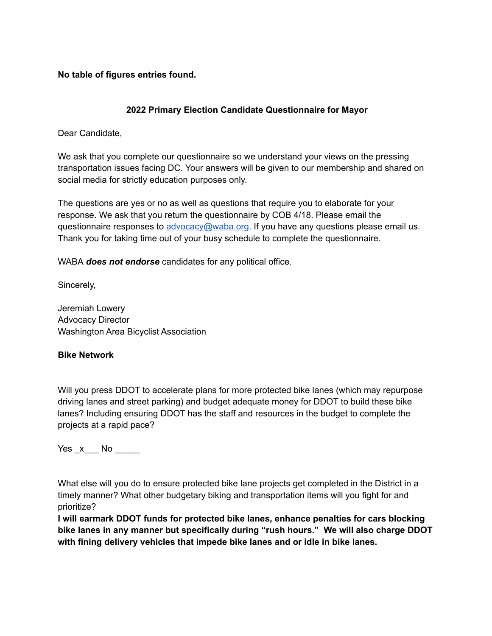**No table of figures entries found.**

### **2022 Primary Election Candidate Questionnaire for Mayor**

Dear Candidate,

We ask that you complete our questionnaire so we understand your views on the pressing transportation issues facing DC. Your answers will be given to our membership and shared on social media for strictly education purposes only.

The questions are yes or no as well as questions that require you to elaborate for your response. We ask that you return the questionnaire by COB 4/18. Please email the questionnaire responses to [advocacy@waba.org.](mailto:advocacy@waba.org) If you have any questions please email us. Thank you for taking time out of your busy schedule to complete the questionnaire.

WABA *does not endorse* candidates for any political office.

Sincerely,

Jeremiah Lowery Advocacy Director Washington Area Bicyclist Association

#### **Bike Network**

Will you press DDOT to accelerate plans for more protected bike lanes (which may repurpose driving lanes and street parking) and budget adequate money for DDOT to build these bike lanes? Including ensuring DDOT has the staff and resources in the budget to complete the projects at a rapid pace?

Yes \_x \_\_\_ No \_\_\_\_\_

What else will you do to ensure protected bike lane projects get completed in the District in a timely manner? What other budgetary biking and transportation items will you fight for and prioritize?

**I will earmark DDOT funds for protected bike lanes, enhance penalties for cars blocking bike lanes in any manner but specifically during "rush hours." We will also charge DDOT with fining delivery vehicles that impede bike lanes and or idle in bike lanes.**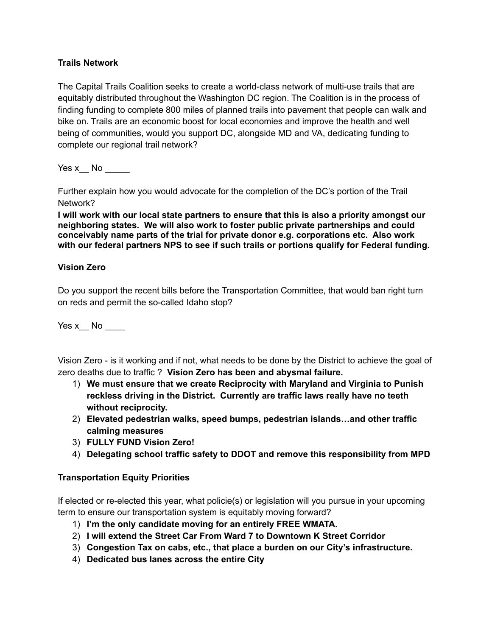### **Trails Network**

The Capital Trails Coalition seeks to create a world-class network of multi-use trails that are equitably distributed throughout the Washington DC region. The Coalition is in the process of finding funding to complete 800 miles of planned trails into pavement that people can walk and bike on. Trails are an economic boost for local economies and improve the health and well being of communities, would you support DC, alongside MD and VA, dedicating funding to complete our regional trail network?

Yes x  $\blacksquare$  No  $\blacksquare$ 

Further explain how you would advocate for the completion of the DC's portion of the Trail Network?

**I will work with our local state partners to ensure that this is also a priority amongst our neighboring states. We will also work to foster public private partnerships and could conceivably name parts of the trial for private donor e.g. corporations etc. Also work with our federal partners NPS to see if such trails or portions qualify for Federal funding.**

#### **Vision Zero**

Do you support the recent bills before the Transportation Committee, that would ban right turn on reds and permit the so-called Idaho stop?

Yes  $x$  No  $\_\_\_\_\_\$ 

Vision Zero - is it working and if not, what needs to be done by the District to achieve the goal of zero deaths due to traffic ? **Vision Zero has been and abysmal failure.**

- 1) **We must ensure that we create Reciprocity with Maryland and Virginia to Punish reckless driving in the District. Currently are traffic laws really have no teeth without reciprocity.**
- 2) **Elevated pedestrian walks, speed bumps, pedestrian islands…and other traffic calming measures**
- 3) **FULLY FUND Vision Zero!**
- 4) **Delegating school traffic safety to DDOT and remove this responsibility from MPD**

#### **Transportation Equity Priorities**

If elected or re-elected this year, what policie(s) or legislation will you pursue in your upcoming term to ensure our transportation system is equitably moving forward?

- 1) **I'm the only candidate moving for an entirely FREE WMATA.**
- 2) **I will extend the Street Car From Ward 7 to Downtown K Street Corridor**
- 3) **Congestion Tax on cabs, etc., that place a burden on our City's infrastructure.**
- 4) **Dedicated bus lanes across the entire City**